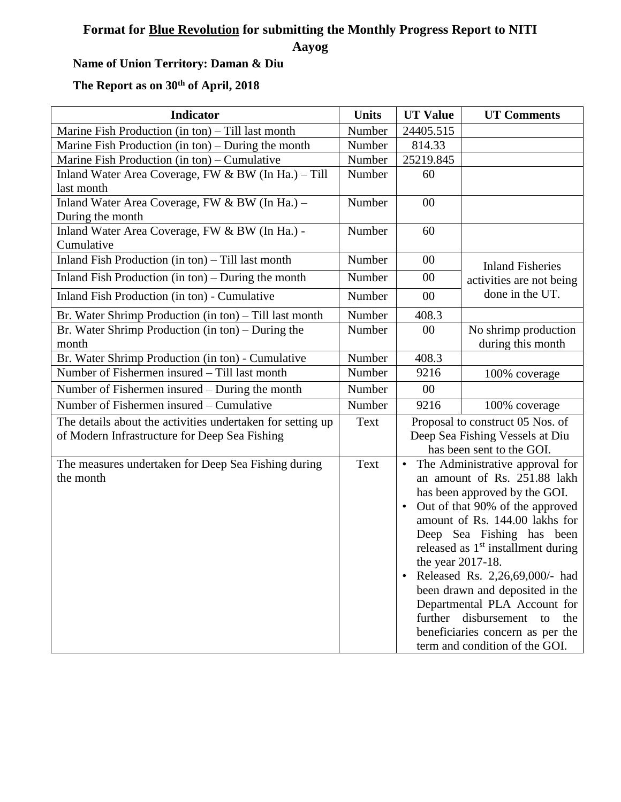## **Format for Blue Revolution for submitting the Monthly Progress Report to NITI**

**Aayog**

## **Name of Union Territory: Daman & Diu**

## **The Report as on 30th of April, 2018**

| <b>Indicator</b>                                                                                            | <b>Units</b> | <b>UT Value</b>                                                                                                                                                                                                                                                                                                                                                                                                                                                                                                                     | <b>UT Comments</b>                                                     |  |
|-------------------------------------------------------------------------------------------------------------|--------------|-------------------------------------------------------------------------------------------------------------------------------------------------------------------------------------------------------------------------------------------------------------------------------------------------------------------------------------------------------------------------------------------------------------------------------------------------------------------------------------------------------------------------------------|------------------------------------------------------------------------|--|
| Marine Fish Production (in ton) – Till last month                                                           | Number       | 24405.515                                                                                                                                                                                                                                                                                                                                                                                                                                                                                                                           |                                                                        |  |
| Marine Fish Production (in ton) – During the month                                                          | Number       | 814.33                                                                                                                                                                                                                                                                                                                                                                                                                                                                                                                              |                                                                        |  |
| Marine Fish Production (in ton) – Cumulative                                                                | Number       | 25219.845                                                                                                                                                                                                                                                                                                                                                                                                                                                                                                                           |                                                                        |  |
| Inland Water Area Coverage, FW & BW (In Ha.) - Till<br>last month                                           | Number       | 60                                                                                                                                                                                                                                                                                                                                                                                                                                                                                                                                  |                                                                        |  |
| Inland Water Area Coverage, FW & BW (In Ha.) -<br>During the month                                          | Number       | 00                                                                                                                                                                                                                                                                                                                                                                                                                                                                                                                                  |                                                                        |  |
| Inland Water Area Coverage, FW & BW (In Ha.) -<br>Cumulative                                                | Number       | 60                                                                                                                                                                                                                                                                                                                                                                                                                                                                                                                                  |                                                                        |  |
| Inland Fish Production (in ton) – Till last month                                                           | Number       | 00                                                                                                                                                                                                                                                                                                                                                                                                                                                                                                                                  | <b>Inland Fisheries</b><br>activities are not being<br>done in the UT. |  |
| Inland Fish Production (in ton) – During the month                                                          | Number       | $00\,$                                                                                                                                                                                                                                                                                                                                                                                                                                                                                                                              |                                                                        |  |
| Inland Fish Production (in ton) - Cumulative                                                                | Number       | 00                                                                                                                                                                                                                                                                                                                                                                                                                                                                                                                                  |                                                                        |  |
| Br. Water Shrimp Production (in ton) - Till last month                                                      | Number       | 408.3                                                                                                                                                                                                                                                                                                                                                                                                                                                                                                                               |                                                                        |  |
| Br. Water Shrimp Production (in ton) – During the<br>month                                                  | Number       | $00\,$                                                                                                                                                                                                                                                                                                                                                                                                                                                                                                                              | No shrimp production<br>during this month                              |  |
| Br. Water Shrimp Production (in ton) - Cumulative                                                           | Number       | 408.3                                                                                                                                                                                                                                                                                                                                                                                                                                                                                                                               |                                                                        |  |
| Number of Fishermen insured – Till last month                                                               | Number       | 9216                                                                                                                                                                                                                                                                                                                                                                                                                                                                                                                                | 100% coverage                                                          |  |
| Number of Fishermen insured – During the month                                                              | Number       | 00                                                                                                                                                                                                                                                                                                                                                                                                                                                                                                                                  |                                                                        |  |
| Number of Fishermen insured – Cumulative                                                                    | Number       | 9216                                                                                                                                                                                                                                                                                                                                                                                                                                                                                                                                | 100% coverage                                                          |  |
| The details about the activities undertaken for setting up<br>of Modern Infrastructure for Deep Sea Fishing | Text         | Proposal to construct 05 Nos. of<br>Deep Sea Fishing Vessels at Diu<br>has been sent to the GOI.                                                                                                                                                                                                                                                                                                                                                                                                                                    |                                                                        |  |
| The measures undertaken for Deep Sea Fishing during<br>the month                                            | Text         | The Administrative approval for<br>$\bullet$<br>an amount of Rs. 251.88 lakh<br>has been approved by the GOI.<br>Out of that 90% of the approved<br>$\bullet$<br>amount of Rs. 144.00 lakhs for<br>Deep Sea Fishing has been<br>released as 1 <sup>st</sup> installment during<br>the year 2017-18.<br>Released Rs. 2,26,69,000/- had<br>$\bullet$<br>been drawn and deposited in the<br>Departmental PLA Account for<br>further<br>disbursement<br>the<br>to<br>beneficiaries concern as per the<br>term and condition of the GOI. |                                                                        |  |